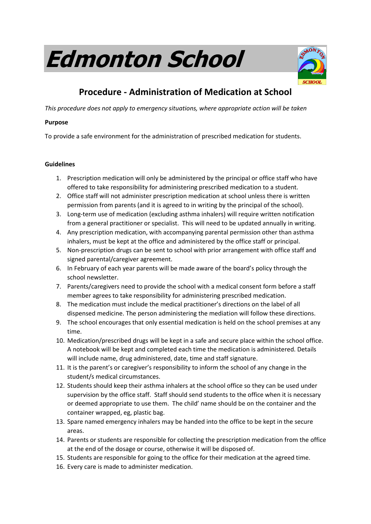

## **Procedure - Administration of Medication at School**

*This procedure does not apply to emergency situations, where appropriate action will be taken*

## **Purpose**

To provide a safe environment for the administration of prescribed medication for students.

## **Guidelines**

- 1. Prescription medication will only be administered by the principal or office staff who have offered to take responsibility for administering prescribed medication to a student.
- 2. Office staff will not administer prescription medication at school unless there is written permission from parents (and it is agreed to in writing by the principal of the school).
- 3. Long-term use of medication (excluding asthma inhalers) will require written notification from a general practitioner or specialist. This will need to be updated annually in writing.
- 4. Any prescription medication, with accompanying parental permission other than asthma inhalers, must be kept at the office and administered by the office staff or principal.
- 5. Non-prescription drugs can be sent to school with prior arrangement with office staff and signed parental/caregiver agreement.
- 6. In February of each year parents will be made aware of the board's policy through the school newsletter.
- 7. Parents/caregivers need to provide the school with a medical consent form before a staff member agrees to take responsibility for administering prescribed medication.
- 8. The medication must include the medical practitioner's directions on the label of all dispensed medicine. The person administering the mediation will follow these directions.
- 9. The school encourages that only essential medication is held on the school premises at any time.
- 10. Medication/prescribed drugs will be kept in a safe and secure place within the school office. A notebook will be kept and completed each time the medication is administered. Details will include name, drug administered, date, time and staff signature.
- 11. It is the parent's or caregiver's responsibility to inform the school of any change in the student/s medical circumstances.
- 12. Students should keep their asthma inhalers at the school office so they can be used under supervision by the office staff. Staff should send students to the office when it is necessary or deemed appropriate to use them. The child' name should be on the container and the container wrapped, eg, plastic bag.
- 13. Spare named emergency inhalers may be handed into the office to be kept in the secure areas.
- 14. Parents or students are responsible for collecting the prescription medication from the office at the end of the dosage or course, otherwise it will be disposed of.
- 15. Students are responsible for going to the office for their medication at the agreed time.
- 16. Every care is made to administer medication.